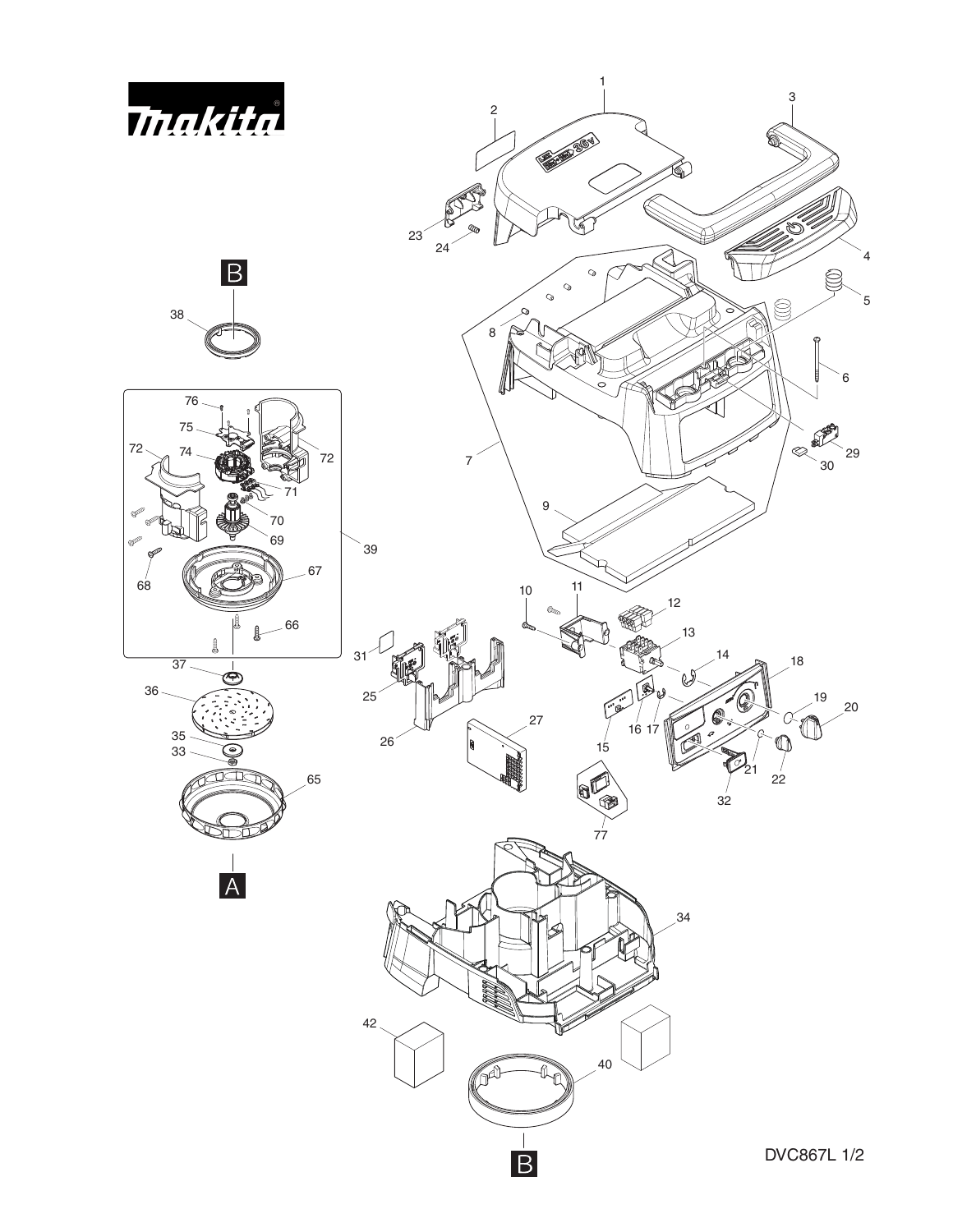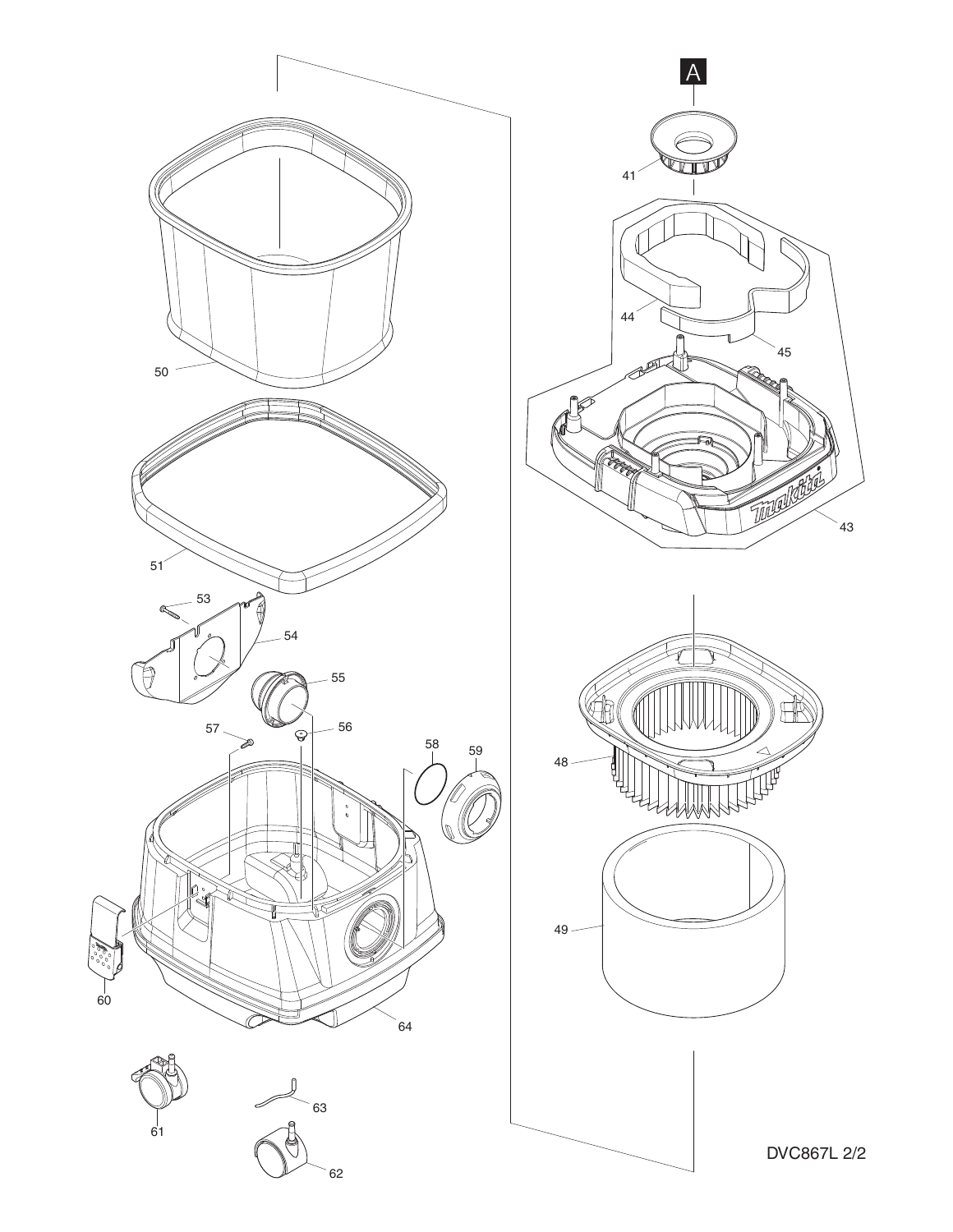

DVC867L 2/2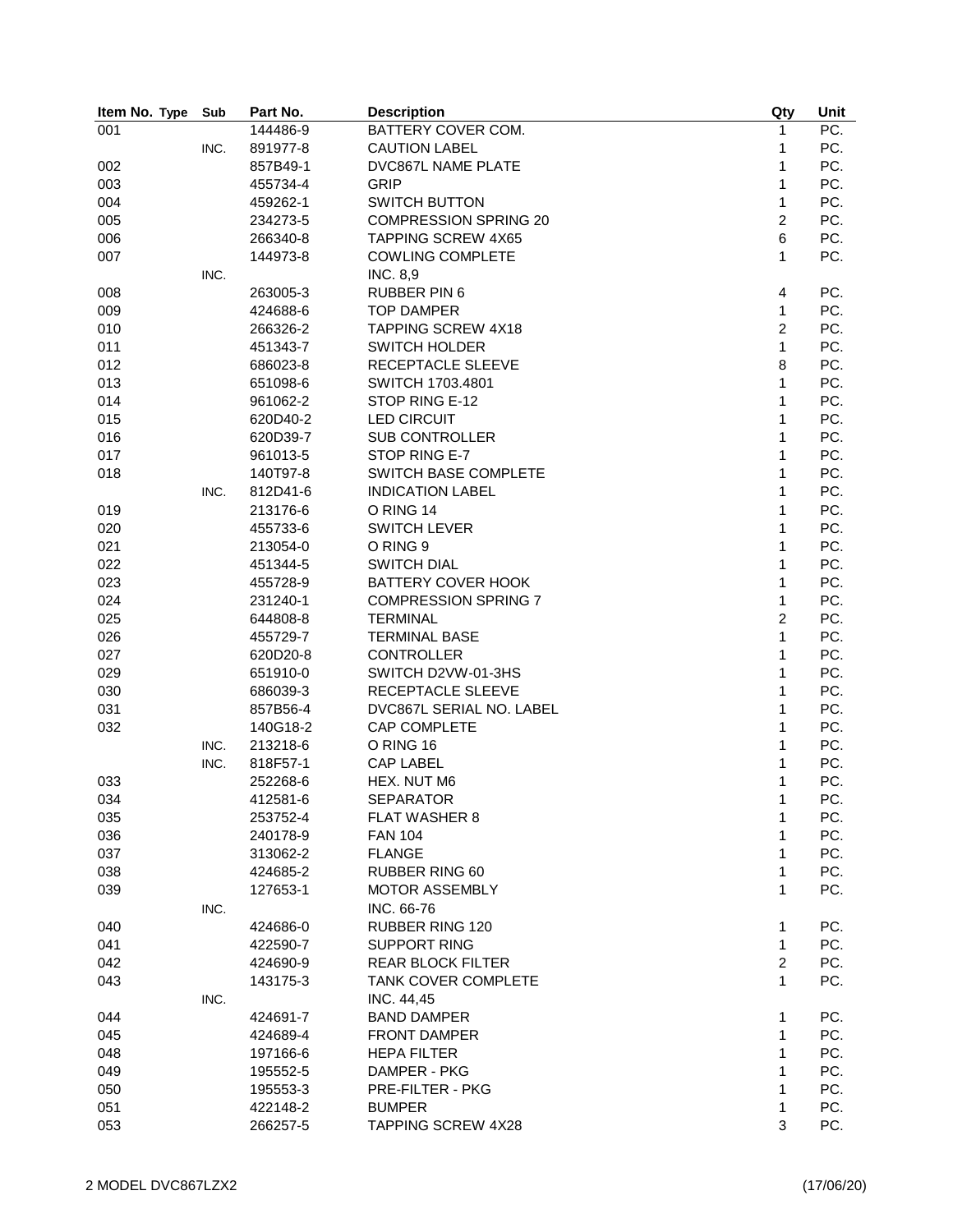| Item No. Type | Sub  | Part No. | <b>Description</b>           | Qty                     | Unit              |
|---------------|------|----------|------------------------------|-------------------------|-------------------|
| 001           |      | 144486-9 | BATTERY COVER COM.           | $\mathbf{1}$            | $\overline{PC}$ . |
|               | INC. | 891977-8 | <b>CAUTION LABEL</b>         | 1                       | PC.               |
| 002           |      | 857B49-1 | DVC867L NAME PLATE           | 1                       | PC.               |
| 003           |      | 455734-4 | <b>GRIP</b>                  | 1                       | PC.               |
| 004           |      | 459262-1 | <b>SWITCH BUTTON</b>         | 1                       | PC.               |
| 005           |      | 234273-5 | <b>COMPRESSION SPRING 20</b> | $\overline{c}$          | PC.               |
| 006           |      | 266340-8 | <b>TAPPING SCREW 4X65</b>    | 6                       | PC.               |
| 007           |      | 144973-8 | <b>COWLING COMPLETE</b>      | 1                       | PC.               |
|               | INC. |          | <b>INC. 8,9</b>              |                         |                   |
| 008           |      | 263005-3 | <b>RUBBER PIN 6</b>          | $\overline{\mathbf{4}}$ | PC.               |
| 009           |      | 424688-6 | <b>TOP DAMPER</b>            | $\mathbf{1}$            | PC.               |
| 010           |      | 266326-2 | <b>TAPPING SCREW 4X18</b>    | $\overline{c}$          | PC.               |
| 011           |      | 451343-7 | <b>SWITCH HOLDER</b>         | 1                       | PC.               |
| 012           |      | 686023-8 | RECEPTACLE SLEEVE            | 8                       | PC.               |
| 013           |      | 651098-6 | SWITCH 1703.4801             | 1                       | PC.               |
| 014           |      | 961062-2 | STOP RING E-12               | 1                       | PC.               |
| 015           |      | 620D40-2 | <b>LED CIRCUIT</b>           | 1                       | PC.               |
| 016           |      | 620D39-7 | <b>SUB CONTROLLER</b>        | 1                       | PC.               |
| 017           |      | 961013-5 | STOP RING E-7                | 1                       | PC.               |
|               |      |          |                              | 1                       | PC.               |
| 018           |      | 140T97-8 | <b>SWITCH BASE COMPLETE</b>  |                         |                   |
|               | INC. | 812D41-6 | <b>INDICATION LABEL</b>      | 1                       | PC.               |
| 019           |      | 213176-6 | O RING 14                    | 1                       | PC.               |
| 020           |      | 455733-6 | <b>SWITCH LEVER</b>          | 1                       | PC.               |
| 021           |      | 213054-0 | O RING 9                     | 1                       | PC.               |
| 022           |      | 451344-5 | <b>SWITCH DIAL</b>           | 1                       | PC.               |
| 023           |      | 455728-9 | <b>BATTERY COVER HOOK</b>    | 1                       | PC.               |
| 024           |      | 231240-1 | <b>COMPRESSION SPRING 7</b>  | $\mathbf{1}$            | PC.               |
| 025           |      | 644808-8 | <b>TERMINAL</b>              | $\overline{c}$          | PC.               |
| 026           |      | 455729-7 | <b>TERMINAL BASE</b>         | 1                       | PC.               |
| 027           |      | 620D20-8 | <b>CONTROLLER</b>            | 1                       | PC.               |
| 029           |      | 651910-0 | SWITCH D2VW-01-3HS           | 1                       | PC.               |
| 030           |      | 686039-3 | RECEPTACLE SLEEVE            | 1                       | PC.               |
| 031           |      | 857B56-4 | DVC867L SERIAL NO. LABEL     | 1                       | PC.               |
| 032           |      | 140G18-2 | CAP COMPLETE                 | 1                       | PC.               |
|               | INC. | 213218-6 | O RING 16                    | 1                       | PC.               |
|               | INC. | 818F57-1 | <b>CAP LABEL</b>             | 1                       | PC.               |
| 033           |      | 252268-6 | HEX. NUT M6                  | 1                       | PC.               |
| 034           |      | 412581-6 | <b>SEPARATOR</b>             | 1                       | PC.               |
| 035           |      | 253752-4 | <b>FLAT WASHER 8</b>         | 1                       | PC.               |
| 036           |      | 240178-9 | <b>FAN 104</b>               | 1                       | PC.               |
| 037           |      | 313062-2 | <b>FLANGE</b>                | 1                       | PC.               |
| 038           |      | 424685-2 | <b>RUBBER RING 60</b>        | 1                       | PC.               |
| 039           |      | 127653-1 | <b>MOTOR ASSEMBLY</b>        | 1                       | PC.               |
|               | INC. |          | INC. 66-76                   |                         |                   |
| 040           |      | 424686-0 | RUBBER RING 120              | $\mathbf{1}$            | PC.               |
| 041           |      | 422590-7 | <b>SUPPORT RING</b>          | $\mathbf{1}$            | PC.               |
| 042           |      | 424690-9 | <b>REAR BLOCK FILTER</b>     | $\overline{c}$          | PC.               |
|               |      |          | <b>TANK COVER COMPLETE</b>   | 1                       |                   |
| 043           |      | 143175-3 |                              |                         | PC.               |
|               | INC. |          | INC. 44,45                   |                         |                   |
| 044           |      | 424691-7 | <b>BAND DAMPER</b>           | 1                       | PC.               |
| 045           |      | 424689-4 | <b>FRONT DAMPER</b>          | 1                       | PC.               |
| 048           |      | 197166-6 | <b>HEPA FILTER</b>           | 1                       | PC.               |
| 049           |      | 195552-5 | DAMPER - PKG                 | 1                       | PC.               |
| 050           |      | 195553-3 | <b>PRE-FILTER - PKG</b>      | 1                       | PC.               |
| 051           |      | 422148-2 | <b>BUMPER</b>                | 1                       | PC.               |
| 053           |      | 266257-5 | <b>TAPPING SCREW 4X28</b>    | 3                       | PC.               |